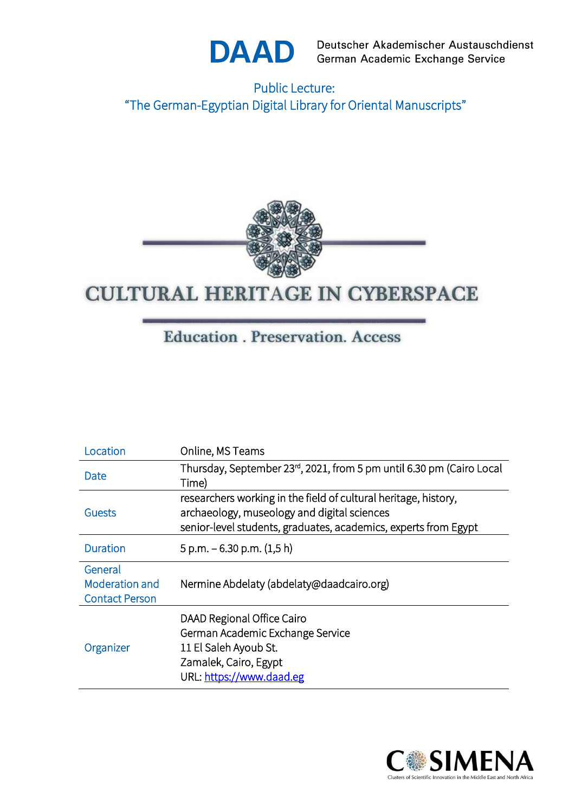

Deutscher Akademischer Austauschdienst German Academic Exchange Service

Public Lecture: "The German-Egyptian Digital Library for Oriental Manuscripts"



## **CULTURAL HERITAGE IN CYBERSPACE**

### **Education** . Preservation. Access

| Location              | Online, MS Teams                                                     |  |
|-----------------------|----------------------------------------------------------------------|--|
| Date                  | Thursday, September 23rd, 2021, from 5 pm until 6.30 pm (Cairo Local |  |
|                       | Time)                                                                |  |
| <b>Guests</b>         | researchers working in the field of cultural heritage, history,      |  |
|                       | archaeology, museology and digital sciences                          |  |
|                       | senior-level students, graduates, academics, experts from Egypt      |  |
| <b>Duration</b>       | $5$ p.m. $-6.30$ p.m. $(1,5 h)$                                      |  |
|                       |                                                                      |  |
| General               |                                                                      |  |
| Moderation and        | Nermine Abdelaty (abdelaty@daadcairo.org)                            |  |
| <b>Contact Person</b> |                                                                      |  |
| Organizer             | DAAD Regional Office Cairo                                           |  |
|                       | German Academic Exchange Service                                     |  |
|                       | 11 El Saleh Ayoub St.                                                |  |
|                       | Zamalek, Cairo, Egypt                                                |  |
|                       | URL: https://www.daad.eg                                             |  |
|                       |                                                                      |  |

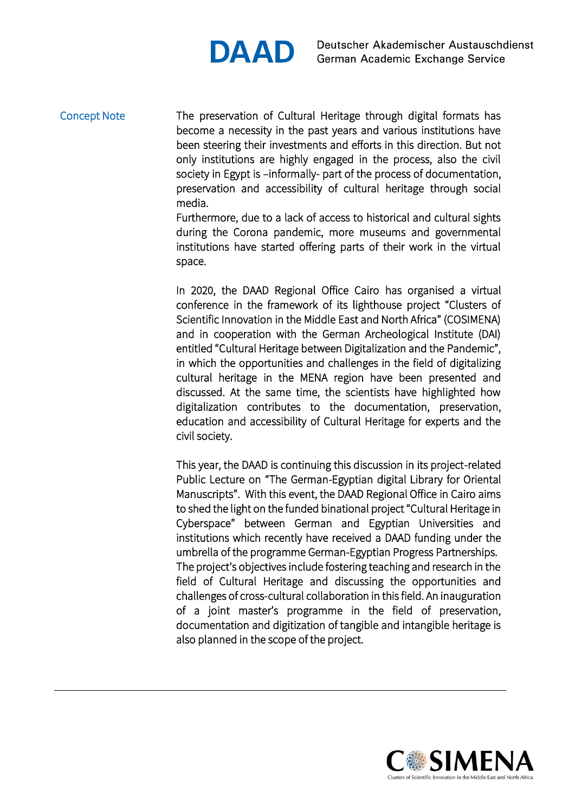# **DAAD**

#### Concept Note

The preservation of Cultural Heritage through digital formats has become a necessity in the past years and various institutions have been steering their investments and efforts in this direction. But not only institutions are highly engaged in the process, also the civil society in Egypt is –informally- part of the process of documentation, preservation and accessibility of cultural heritage through social media.

Furthermore, due to a lack of access to historical and cultural sights during the Corona pandemic, more museums and governmental institutions have started offering parts of their work in the virtual space.

In 2020, the DAAD Regional Office Cairo has organised a virtual conference in the framework of its lighthouse project "Clusters of Scientific Innovation in the Middle East and North Africa" (COSIMENA) and in cooperation with the German Archeological Institute (DAI) entitled "Cultural Heritage between Digitalization and the Pandemic", in which the opportunities and challenges in the field of digitalizing cultural heritage in the MENA region have been presented and discussed. At the same time, the scientists have highlighted how digitalization contributes to the documentation, preservation, education and accessibility of Cultural Heritage for experts and the civil society.

This year, the DAAD is continuing this discussion in its project-related Public Lecture on "The German-Egyptian digital Library for Oriental Manuscripts". With this event, the DAAD Regional Office in Cairo aims to shed the light on the funded binational project "Cultural Heritage in Cyberspace" between German and Egyptian Universities and institutions which recently have received a DAAD funding under the umbrella of the programme German-Egyptian Progress Partnerships. The project's objectives include fostering teaching and research in the field of Cultural Heritage and discussing the opportunities and challenges of cross-cultural collaboration in this field. An inauguration of a joint master's programme in the field of preservation, documentation and digitization of tangible and intangible heritage is also planned in the scope of the project.

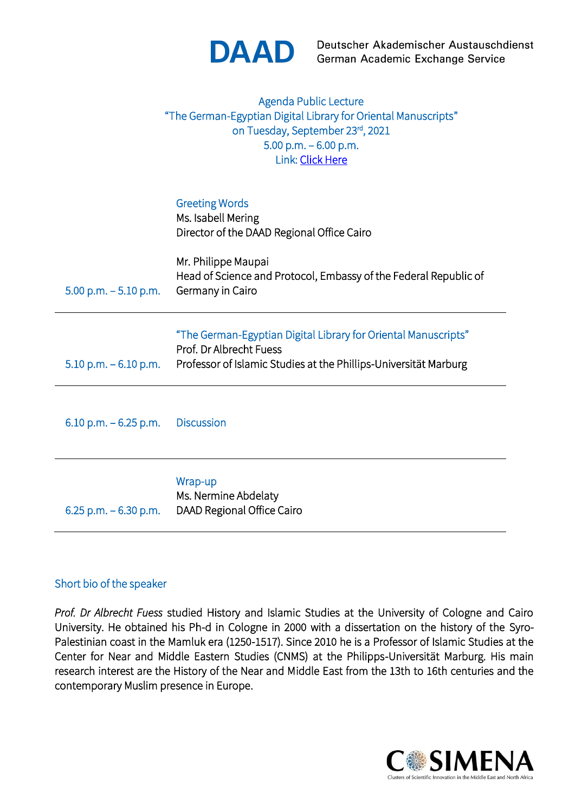

Deutscher Akademischer Austauschdienst German Academic Exchange Service

|                          | Agenda Public Lecture<br>"The German-Egyptian Digital Library for Oriental Manuscripts"<br>on Tuesday, September 23rd, 2021<br>5.00 p.m. $-6.00$ p.m.<br>Link: Click Here |
|--------------------------|---------------------------------------------------------------------------------------------------------------------------------------------------------------------------|
|                          | <b>Greeting Words</b><br>Ms. Isabell Mering<br>Director of the DAAD Regional Office Cairo                                                                                 |
| $5.00$ p.m. $-5.10$ p.m. | Mr. Philippe Maupai<br>Head of Science and Protocol, Embassy of the Federal Republic of<br>Germany in Cairo                                                               |
| $5.10$ p.m. $-6.10$ p.m. | "The German-Egyptian Digital Library for Oriental Manuscripts"<br>Prof. Dr Albrecht Fuess<br>Professor of Islamic Studies at the Phillips-Universität Marburg             |
| 6.10 p.m. $-6.25$ p.m.   | <b>Discussion</b>                                                                                                                                                         |
| 6.25 p.m. $-6.30$ p.m.   | Wrap-up<br>Ms. Nermine Abdelaty<br>DAAD Regional Office Cairo                                                                                                             |
|                          |                                                                                                                                                                           |

#### Short bio of the speaker

*Prof. Dr Albrecht Fuess* studied History and Islamic Studies at the University of Cologne and Cairo University. He obtained his Ph-d in Cologne in 2000 with a dissertation on the history of the Syro-Palestinian coast in the Mamluk era (1250-1517). Since 2010 he is a Professor of Islamic Studies at the Center for Near and Middle Eastern Studies (CNMS) at the Philipps-Universität Marburg. His main research interest are the History of the Near and Middle East from the 13th to 16th centuries and the contemporary Muslim presence in Europe.